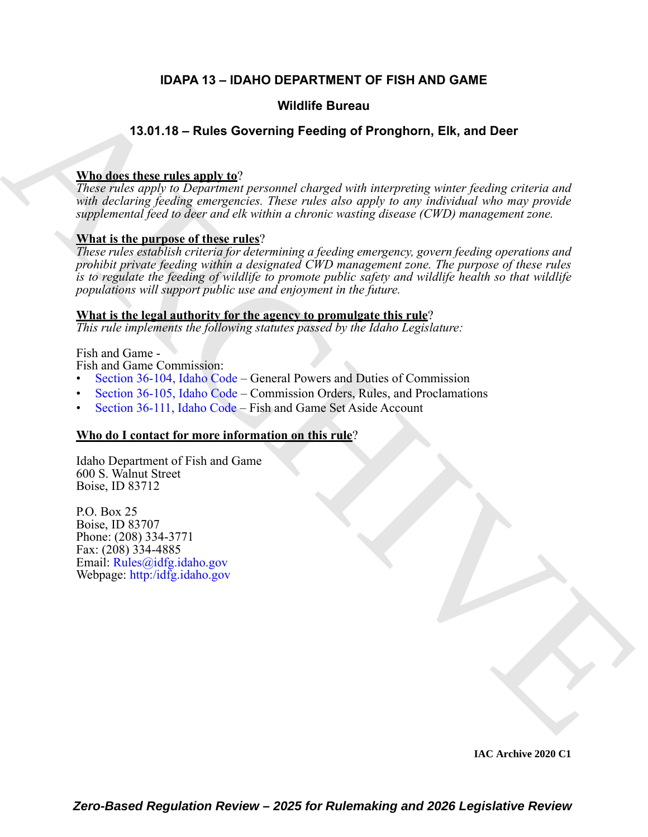### **IDAPA 13 – IDAHO DEPARTMENT OF FISH AND GAME**

#### **Wildlife Bureau**

#### **13.01.18 – Rules Governing Feeding of Pronghorn, Elk, and Deer**

#### **Who does these rules apply to**?

*These rules apply to Department personnel charged with interpreting winter feeding criteria and with declaring feeding emergencies. These rules also apply to any individual who may provide supplemental feed to deer and elk within a chronic wasting disease (CWD) management zone.*

#### **What is the purpose of these rules**?

**VALUE [C](https://legislature.idaho.gov/statutesrules/idstat/Title36/T36CH1/SECT36-104/)ONTINU[E](https://idfg.idaho.gov) Surface CONTINUE Surface CONTINUE SURFACE CONTINUES CONTINUES CONTINUES (CONTINUES)**<br>
The detail the real of the properties of the color of the interpretation properties and the properties of the color of *These rules establish criteria for determining a feeding emergency, govern feeding operations and prohibit private feeding within a designated CWD management zone. The purpose of these rules is to regulate the feeding of wildlife to promote public safety and wildlife health so that wildlife populations will support public use and enjoyment in the future.* 

#### **What is the legal authority for the agency to promulgate this rule**?

*This rule implements the following statutes passed by the Idaho Legislature:*

#### Fish and Game -

Fish and Game Commission:

- Section 36-104, Idaho Code General Powers and Duties of Commission
- Section 36-105, Idaho Code Commission Orders, Rules, and Proclamations
- Section 36-111, Idaho Code Fish and Game Set Aside Account

#### **Who do I contact for more information on this rule**?

Idaho Department of Fish and Game 600 S. Walnut Street Boise, ID 83712

P.O. Box 25 Boise, ID 83707 Phone: (208) 334-3771 Fax: (208) 334-4885 Email: Rules@idfg.idaho.gov Webpage: http:/idfg.idaho.gov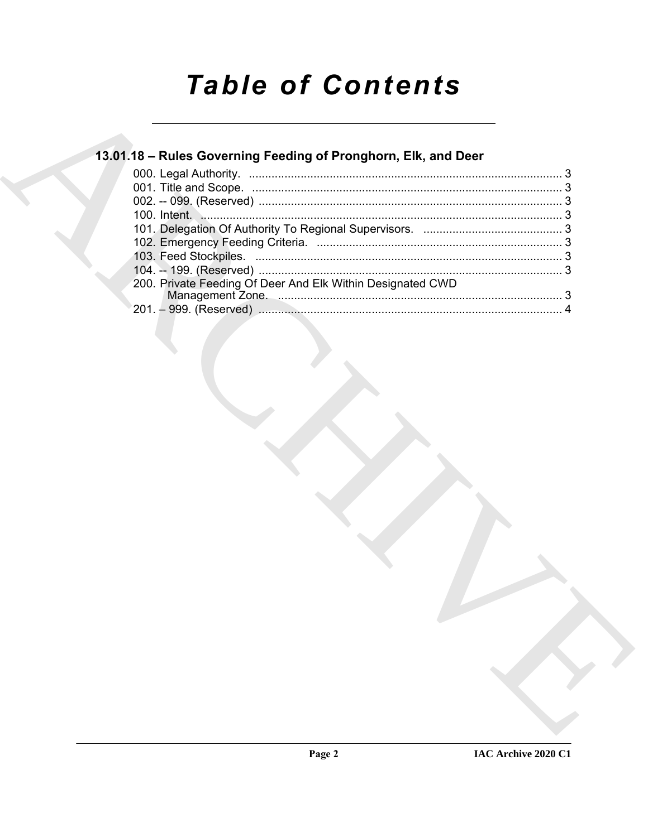# **Table of Contents**

### 13.01.18 - Rules Governing Feeding of Pronghorn, Elk, and Deer

| 200. Private Feeding Of Deer And Elk Within Designated CWD |  |
|------------------------------------------------------------|--|
|                                                            |  |
|                                                            |  |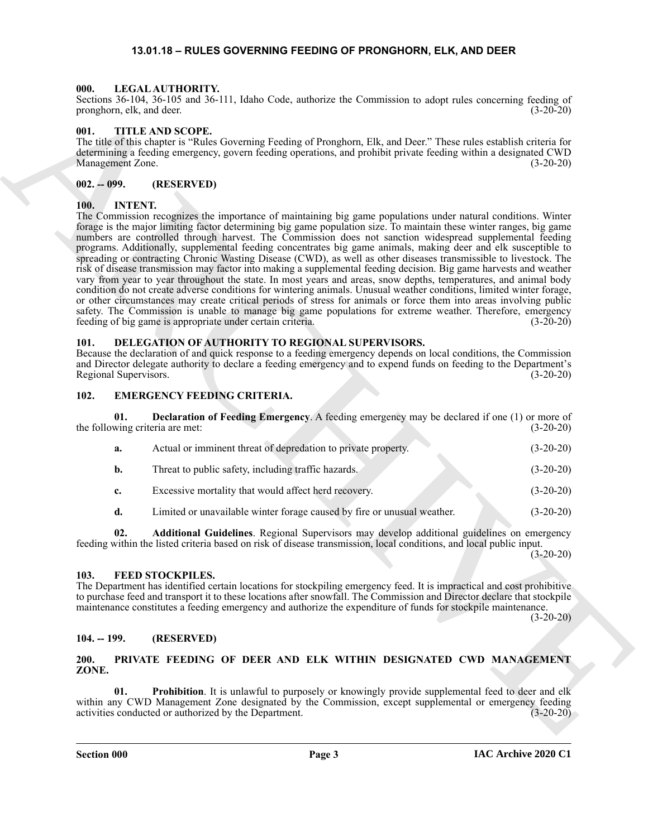#### <span id="page-2-16"></span>**13.01.18 – RULES GOVERNING FEEDING OF PRONGHORN, ELK, AND DEER**

#### <span id="page-2-1"></span><span id="page-2-0"></span>**000. LEGAL AUTHORITY.**

Sections 36-104, 36-105 and 36-111, Idaho Code, authorize the Commission to adopt rules concerning feeding of pronghorn, elk, and deer. (3-20-20)

#### <span id="page-2-19"></span><span id="page-2-2"></span>**001. TITLE AND SCOPE.**

The title of this chapter is "Rules Governing Feeding of Pronghorn, Elk, and Deer." These rules establish criteria for determining a feeding emergency, govern feeding operations, and prohibit private feeding within a designated CWD Management Zone. (3-20-20)

#### <span id="page-2-3"></span>**002. -- 099. (RESERVED)**

#### <span id="page-2-15"></span><span id="page-2-4"></span>**100. INTENT.**

Some Securities and 29-11 Julie Cole, subcare the Commission to adopt into enorming exchange the state of the state of the state of the state of the state of the state of the state of the state of the state of the state o The Commission recognizes the importance of maintaining big game populations under natural conditions. Winter forage is the major limiting factor determining big game population size. To maintain these winter ranges, big game numbers are controlled through harvest. The Commission does not sanction widespread supplemental feeding programs. Additionally, supplemental feeding concentrates big game animals, making deer and elk susceptible to spreading or contracting Chronic Wasting Disease (CWD), as well as other diseases transmissible to livestock. The risk of disease transmission may factor into making a supplemental feeding decision. Big game harvests and weather vary from year to year throughout the state. In most years and areas, snow depths, temperatures, and animal body condition do not create adverse conditions for wintering animals. Unusual weather conditions, limited winter forage, or other circumstances may create critical periods of stress for animals or force them into areas involving public safety. The Commission is unable to manage big game populations for extreme weather. Therefore, emergency feeding of big game is appropriate under certain criteria. (3-20-20)

#### <span id="page-2-10"></span><span id="page-2-5"></span>**101. DELEGATION OF AUTHORITY TO REGIONAL SUPERVISORS.**

Because the declaration of and quick response to a feeding emergency depends on local conditions, the Commission and Director delegate authority to declare a feeding emergency and to expend funds on feeding to the Department's Regional Supervisors. (3-20-20)

#### <span id="page-2-11"></span><span id="page-2-6"></span>**102. EMERGENCY FEEDING CRITERIA.**

<span id="page-2-13"></span>

| 01. | <b>Declaration of Feeding Emergency.</b> A feeding emergency may be declared if one (1) or more of<br>the following criteria are met: | $(3-20-20)$ |
|-----|---------------------------------------------------------------------------------------------------------------------------------------|-------------|
| a.  | Actual or imminent threat of depredation to private property.                                                                         | $(3-20-20)$ |
| b.  | Threat to public safety, including traffic hazards.                                                                                   | $(3-20-20)$ |
| c.  | Excessive mortality that would affect herd recovery.                                                                                  | $(3-20-20)$ |
| d.  | Limited or unavailable winter forage caused by fire or unusual weather.                                                               | $(3-20-20)$ |

<span id="page-2-12"></span>**02. Additional Guidelines**. Regional Supervisors may develop additional guidelines on emergency feeding within the listed criteria based on risk of disease transmission, local conditions, and local public input.

 $(3-20-20)$ 

#### <span id="page-2-14"></span><span id="page-2-7"></span>**103. FEED STOCKPILES.**

The Department has identified certain locations for stockpiling emergency feed. It is impractical and cost prohibitive to purchase feed and transport it to these locations after snowfall. The Commission and Director declare that stockpile maintenance constitutes a feeding emergency and authorize the expenditure of funds for stockpile maintenance.

(3-20-20)

#### <span id="page-2-8"></span>**104. -- 199. (RESERVED)**

#### <span id="page-2-17"></span><span id="page-2-9"></span>**200. PRIVATE FEEDING OF DEER AND ELK WITHIN DESIGNATED CWD MANAGEMENT ZONE.**

<span id="page-2-18"></span>**Prohibition**. It is unlawful to purposely or knowingly provide supplemental feed to deer and elk within any CWD Management Zone designated by the Commission, except supplemental or emergency feeding activities conducted or authorized by the Department. (3-20-20)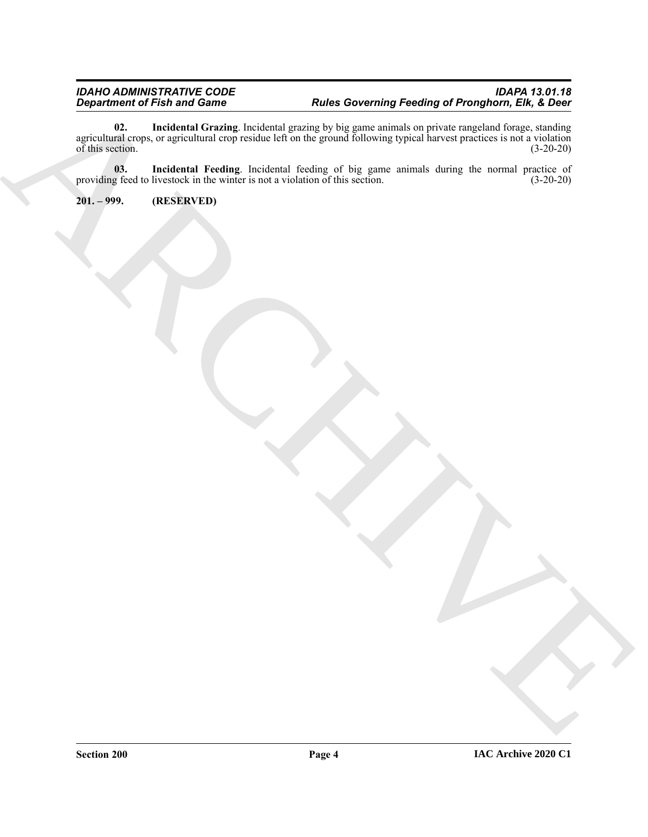Department of Fish and Company through the Archives of Secondary of Prospective, ER, & December 2003.<br>
The secondary of the secondary results of the secondary of the game and and the secondary properties of the secondary o **02. Incidental Grazing**. Incidental grazing by big game animals on private rangeland forage, standing agricultural crops, or agricultural crop residue left on the ground following typical harvest practices is not a violation of this section.  $(3-20-20)$ 

<span id="page-3-2"></span><span id="page-3-1"></span>**03. Incidental Feeding**. Incidental feeding of big game animals during the normal practice of providing feed to livestock in the winter is not a violation of this section. (3-20-20)

<span id="page-3-0"></span>**201. – 999. (RESERVED)**